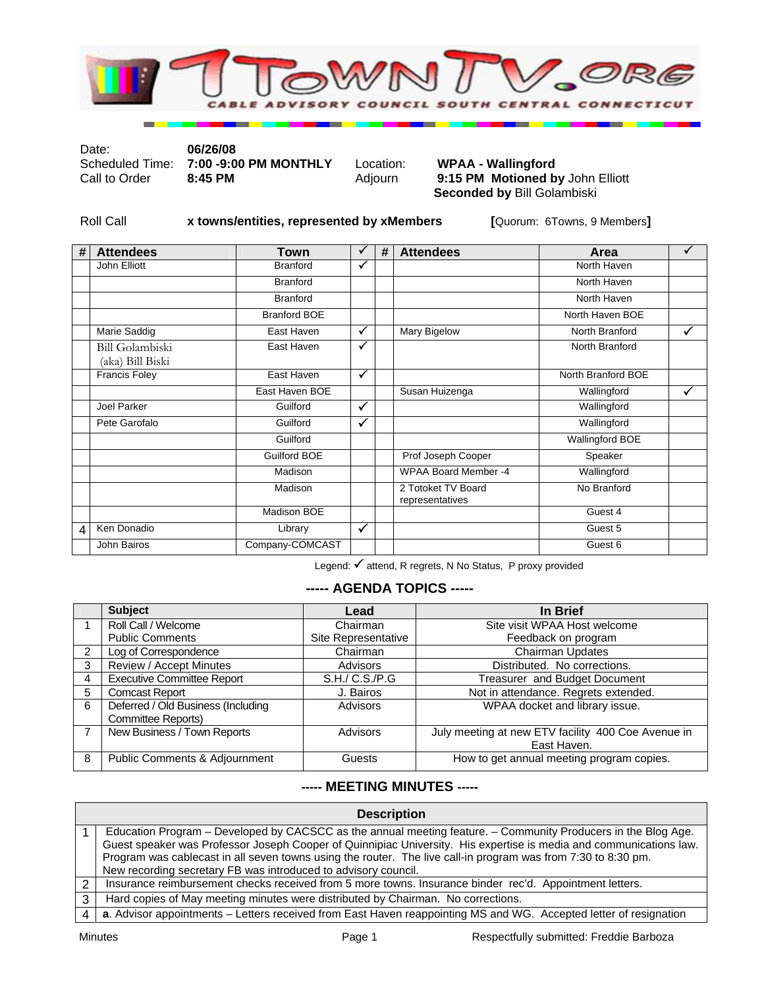

Date: **06/26/08** 

Scheduled Time: **7:00 -9:00 PM MONTHLY** Location: **WPAA - Wallingford** 

9:15 PM Motioned by John Elliott **Seconded by** Bill Golambiski

Roll Call **x towns/entities, represented by xMembers [**Quorum: 6Towns, 9 Members**]** 

| # | <b>Attendees</b>                    | Town                | ✓            | # | <b>Attendees</b>                      | Area                   | ✓ |
|---|-------------------------------------|---------------------|--------------|---|---------------------------------------|------------------------|---|
|   | John Elliott                        | <b>Branford</b>     | ✓            |   |                                       | North Haven            |   |
|   |                                     | <b>Branford</b>     |              |   |                                       | North Haven            |   |
|   |                                     | <b>Branford</b>     |              |   |                                       | North Haven            |   |
|   |                                     | <b>Branford BOE</b> |              |   |                                       | North Haven BOE        |   |
|   | <b>Marie Saddig</b>                 | East Haven          | ✓            |   | Mary Bigelow                          | North Branford         |   |
|   | Bill Golambiski<br>(aka) Bill Biski | East Haven          | $\checkmark$ |   |                                       | North Branford         |   |
|   | <b>Francis Foley</b>                | East Haven          | $\checkmark$ |   |                                       | North Branford BOE     |   |
|   |                                     | East Haven BOE      |              |   | Susan Huizenga                        | Wallingford            | ✓ |
|   | Joel Parker                         | Guilford            | ✓            |   |                                       | Wallingford            |   |
|   | Pete Garofalo                       | Guilford            | $\checkmark$ |   |                                       | Wallingford            |   |
|   |                                     | Guilford            |              |   |                                       | <b>Wallingford BOE</b> |   |
|   |                                     | <b>Guilford BOE</b> |              |   | Prof Joseph Cooper                    | Speaker                |   |
|   |                                     | Madison             |              |   | <b>WPAA Board Member -4</b>           | Wallingford            |   |
|   |                                     | Madison             |              |   | 2 Totoket TV Board<br>representatives | No Branford            |   |
|   |                                     | Madison BOE         |              |   |                                       | Guest 4                |   |
| 4 | Ken Donadio                         | Library             | $\checkmark$ |   |                                       | Guest 5                |   |
|   | John Bairos                         | Company-COMCAST     |              |   |                                       | Guest 6                |   |

Legend:  $\checkmark$  attend, R regrets, N No Status, P proxy provided

## **----- AGENDA TOPICS -----**

|               | <b>Subject</b>                     | Lead                | In Brief                                           |
|---------------|------------------------------------|---------------------|----------------------------------------------------|
|               | Roll Call / Welcome                | Chairman            | Site visit WPAA Host welcome                       |
|               | <b>Public Comments</b>             | Site Representative | Feedback on program                                |
| $\mathcal{P}$ | Log of Correspondence              | Chairman            | Chairman Updates                                   |
| 3             | <b>Review / Accept Minutes</b>     | <b>Advisors</b>     | Distributed. No corrections.                       |
| 4             | <b>Executive Committee Report</b>  | S.H./ C.S./P.G      | Treasurer and Budget Document                      |
| 5             | <b>Comcast Report</b>              | J. Bairos           | Not in attendance. Regrets extended.               |
| 6             | Deferred / Old Business (Including | Advisors            | WPAA docket and library issue.                     |
|               | Committee Reports)                 |                     |                                                    |
|               | New Business / Town Reports        | Advisors            | July meeting at new ETV facility 400 Coe Avenue in |
|               |                                    |                     | East Haven.                                        |
| 8             | Public Comments & Adjournment      | Guests              | How to get annual meeting program copies.          |

## **----- MEETING MINUTES -----**

|   | <b>Description</b>                                                                                                 |  |  |  |  |
|---|--------------------------------------------------------------------------------------------------------------------|--|--|--|--|
|   | Education Program – Developed by CACSCC as the annual meeting feature. – Community Producers in the Blog Age.      |  |  |  |  |
|   | Guest speaker was Professor Joseph Cooper of Quinnipiac University. His expertise is media and communications law. |  |  |  |  |
|   | Program was cablecast in all seven towns using the router. The live call-in program was from 7:30 to 8:30 pm.      |  |  |  |  |
|   | New recording secretary FB was introduced to advisory council.                                                     |  |  |  |  |
|   | Insurance reimbursement checks received from 5 more towns. Insurance binder rec'd. Appointment letters.            |  |  |  |  |
| 3 | Hard copies of May meeting minutes were distributed by Chairman. No corrections.                                   |  |  |  |  |
|   | a. Advisor appointments – Letters received from East Haven reappointing MS and WG. Accepted letter of resignation  |  |  |  |  |
|   |                                                                                                                    |  |  |  |  |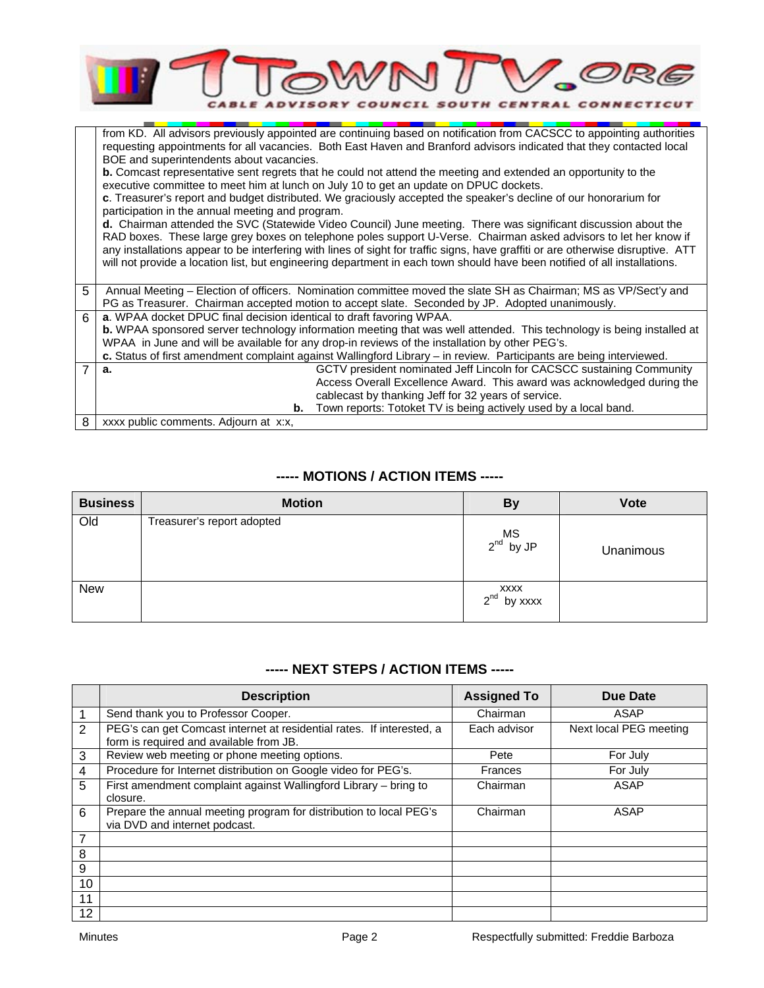|                | <b>TOWN /</b><br>DVISORY COUNCIL SOUTH CENTRAL CONNECTICUT                                                                                                                                                                                    |  |  |  |  |  |
|----------------|-----------------------------------------------------------------------------------------------------------------------------------------------------------------------------------------------------------------------------------------------|--|--|--|--|--|
|                | from KD. All advisors previously appointed are continuing based on notification from CACSCC to appointing authorities<br>requesting appointments for all vacancies. Both East Haven and Branford advisors indicated that they contacted local |  |  |  |  |  |
|                | BOE and superintendents about vacancies.<br><b>b.</b> Comcast representative sent regrets that he could not attend the meeting and extended an opportunity to the                                                                             |  |  |  |  |  |
|                | executive committee to meet him at lunch on July 10 to get an update on DPUC dockets.                                                                                                                                                         |  |  |  |  |  |
|                | c. Treasurer's report and budget distributed. We graciously accepted the speaker's decline of our honorarium for                                                                                                                              |  |  |  |  |  |
|                | participation in the annual meeting and program.<br>d. Chairman attended the SVC (Statewide Video Council) June meeting. There was significant discussion about the                                                                           |  |  |  |  |  |
|                | RAD boxes. These large grey boxes on telephone poles support U-Verse. Chairman asked advisors to let her know if                                                                                                                              |  |  |  |  |  |
|                | any installations appear to be interfering with lines of sight for traffic signs, have graffiti or are otherwise disruptive. ATT                                                                                                              |  |  |  |  |  |
|                | will not provide a location list, but engineering department in each town should have been notified of all installations.                                                                                                                     |  |  |  |  |  |
| 5              | Annual Meeting - Election of officers. Nomination committee moved the slate SH as Chairman; MS as VP/Sect'y and                                                                                                                               |  |  |  |  |  |
|                | PG as Treasurer. Chairman accepted motion to accept slate. Seconded by JP. Adopted unanimously.                                                                                                                                               |  |  |  |  |  |
| 6              | a. WPAA docket DPUC final decision identical to draft favoring WPAA.                                                                                                                                                                          |  |  |  |  |  |
|                | b. WPAA sponsored server technology information meeting that was well attended. This technology is being installed at<br>WPAA in June and will be available for any drop-in reviews of the installation by other PEG's.                       |  |  |  |  |  |
|                | c. Status of first amendment complaint against Wallingford Library - in review. Participants are being interviewed.                                                                                                                           |  |  |  |  |  |
| $\overline{7}$ | GCTV president nominated Jeff Lincoln for CACSCC sustaining Community<br>a.                                                                                                                                                                   |  |  |  |  |  |
|                | Access Overall Excellence Award. This award was acknowledged during the                                                                                                                                                                       |  |  |  |  |  |
|                | cablecast by thanking Jeff for 32 years of service.                                                                                                                                                                                           |  |  |  |  |  |
|                | Town reports: Totoket TV is being actively used by a local band.<br>b.                                                                                                                                                                        |  |  |  |  |  |
| 8              | xxxx public comments. Adjourn at x:x,                                                                                                                                                                                                         |  |  |  |  |  |

## **----- MOTIONS / ACTION ITEMS -----**

| <b>Business</b> | <b>Motion</b>              | <b>By</b>                   | <b>Vote</b> |
|-----------------|----------------------------|-----------------------------|-------------|
| Old             | Treasurer's report adopted | $MS$ by JP                  | Unanimous   |
| <b>New</b>      |                            | XXXX<br>$2^{nd}$<br>by xxxx |             |

## **----- NEXT STEPS / ACTION ITEMS -----**

|    | <b>Description</b>                                                                                               | <b>Assigned To</b> | Due Date               |
|----|------------------------------------------------------------------------------------------------------------------|--------------------|------------------------|
|    | Send thank you to Professor Cooper.                                                                              | Chairman           | ASAP                   |
| 2  | PEG's can get Comcast internet at residential rates. If interested, a<br>form is required and available from JB. | Each advisor       | Next local PEG meeting |
| 3  | Review web meeting or phone meeting options.                                                                     | Pete               | For July               |
| 4  | Procedure for Internet distribution on Google video for PEG's.                                                   | Frances            | For July               |
| 5  | First amendment complaint against Wallingford Library - bring to<br>closure.                                     | Chairman           | ASAP                   |
| 6  | Prepare the annual meeting program for distribution to local PEG's<br>via DVD and internet podcast.              | Chairman           | ASAP                   |
| 7  |                                                                                                                  |                    |                        |
| 8  |                                                                                                                  |                    |                        |
| 9  |                                                                                                                  |                    |                        |
| 10 |                                                                                                                  |                    |                        |
| 11 |                                                                                                                  |                    |                        |
| 12 |                                                                                                                  |                    |                        |